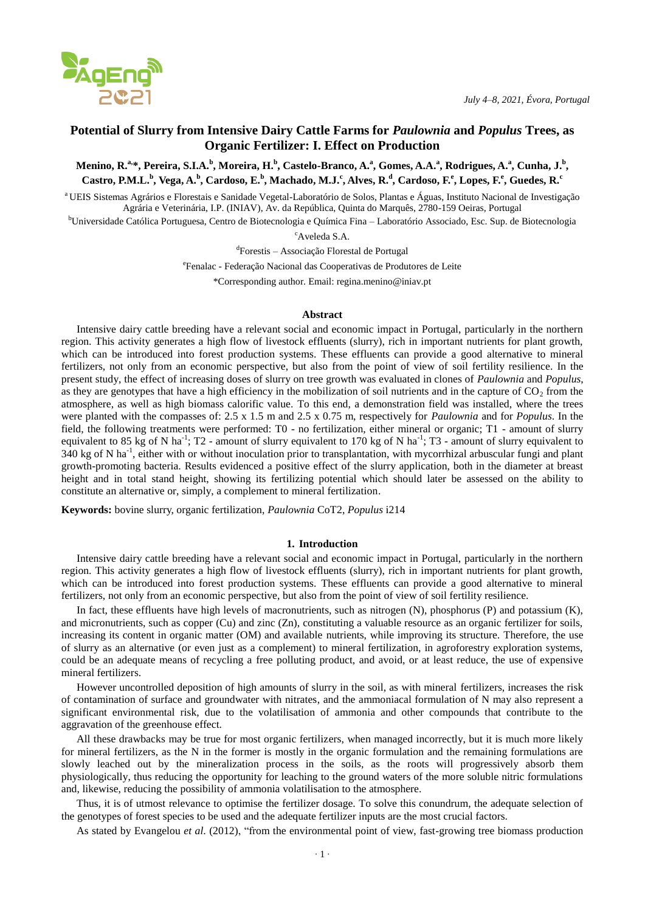

# **Potential of Slurry from Intensive Dairy Cattle Farms for** *Paulownia* **and** *Populus* **Trees, as Organic Fertilizer: I. Effect on Production**

Menino, R.ª<sub>\*</sub>, Pereira, S.I.A.<sup>b</sup>, Moreira, H.<sup>b</sup>, Castelo-Branco, A.ª, Gomes, A.A.ª, Rodrigues, A.ª, Cunha, J.<sup>b</sup>, Castro, P.M.L.<sup>b</sup>, Vega, A.<sup>b</sup>, Cardoso, E.<sup>b</sup>, Machado, M.J.<sup>c</sup>, Alves, R.<sup>d</sup>, Cardoso, F.<sup>e</sup>, Lopes, F.<sup>e</sup>, Guedes, R.<sup>c</sup>

<sup>a</sup> UEIS Sistemas Agrários e Florestais e Sanidade Vegetal-Laboratório de Solos, Plantas e Águas, Instituto Nacional de Investigação Agrária e Veterinária, I.P. (INIAV), Av. da República, Quinta do Marquês, 2780-159 Oeiras, Portugal

<sup>b</sup>Universidade Católica Portuguesa, Centro de Biotecnologia e Química Fina – Laboratório Associado, Esc. Sup. de Biotecnologia

<sup>c</sup>Aveleda S.A.

d Forestis – Associação Florestal de Portugal

e Fenalac - Federação Nacional das Cooperativas de Produtores de Leite

\*Corresponding author. Email: regina.menino@iniav.pt

## **Abstract**

Intensive dairy cattle breeding have a relevant social and economic impact in Portugal, particularly in the northern region. This activity generates a high flow of livestock effluents (slurry), rich in important nutrients for plant growth, which can be introduced into forest production systems. These effluents can provide a good alternative to mineral fertilizers, not only from an economic perspective, but also from the point of view of soil fertility resilience. In the present study, the effect of increasing doses of slurry on tree growth was evaluated in clones of *Paulownia* and *Populus*, as they are genotypes that have a high efficiency in the mobilization of soil nutrients and in the capture of  $CO<sub>2</sub>$  from the atmosphere, as well as high biomass calorific value. To this end, a demonstration field was installed, where the trees were planted with the compasses of: 2.5 x 1.5 m and 2.5 x 0.75 m, respectively for *Paulownia* and for *Populus*. In the field, the following treatments were performed: T0 - no fertilization, either mineral or organic; T1 - amount of slurry equivalent to 85 kg of N ha<sup>-1</sup>; T2 - amount of slurry equivalent to 170 kg of N ha<sup>-1</sup>; T3 - amount of slurry equivalent to 340 kg of N ha<sup>-1</sup>, either with or without inoculation prior to transplantation, with mycorrhizal arbuscular fungi and plant growth-promoting bacteria. Results evidenced a positive effect of the slurry application, both in the diameter at breast height and in total stand height, showing its fertilizing potential which should later be assessed on the ability to constitute an alternative or, simply, a complement to mineral fertilization.

**Keywords:** bovine slurry, organic fertilization, *Paulownia* CoT2, *Populus* i214

### **1. Introduction**

Intensive dairy cattle breeding have a relevant social and economic impact in Portugal, particularly in the northern region. This activity generates a high flow of livestock effluents (slurry), rich in important nutrients for plant growth, which can be introduced into forest production systems. These effluents can provide a good alternative to mineral fertilizers, not only from an economic perspective, but also from the point of view of soil fertility resilience.

In fact, these effluents have high levels of macronutrients, such as nitrogen (N), phosphorus (P) and potassium (K), and micronutrients, such as copper (Cu) and zinc (Zn), constituting a valuable resource as an organic fertilizer for soils, increasing its content in organic matter (OM) and available nutrients, while improving its structure. Therefore, the use of slurry as an alternative (or even just as a complement) to mineral fertilization, in agroforestry exploration systems, could be an adequate means of recycling a free polluting product, and avoid, or at least reduce, the use of expensive mineral fertilizers.

However uncontrolled deposition of high amounts of slurry in the soil, as with mineral fertilizers, increases the risk of contamination of surface and groundwater with nitrates, and the ammoniacal formulation of N may also represent a significant environmental risk, due to the volatilisation of ammonia and other compounds that contribute to the aggravation of the greenhouse effect.

All these drawbacks may be true for most organic fertilizers, when managed incorrectly, but it is much more likely for mineral fertilizers, as the N in the former is mostly in the organic formulation and the remaining formulations are slowly leached out by the mineralization process in the soils, as the roots will progressively absorb them physiologically, thus reducing the opportunity for leaching to the ground waters of the more soluble nitric formulations and, likewise, reducing the possibility of ammonia volatilisation to the atmosphere.

Thus, it is of utmost relevance to optimise the fertilizer dosage. To solve this conundrum, the adequate selection of the genotypes of forest species to be used and the adequate fertilizer inputs are the most crucial factors.

As stated by Evangelou *et al*. (2012), "from the environmental point of view, fast-growing tree biomass production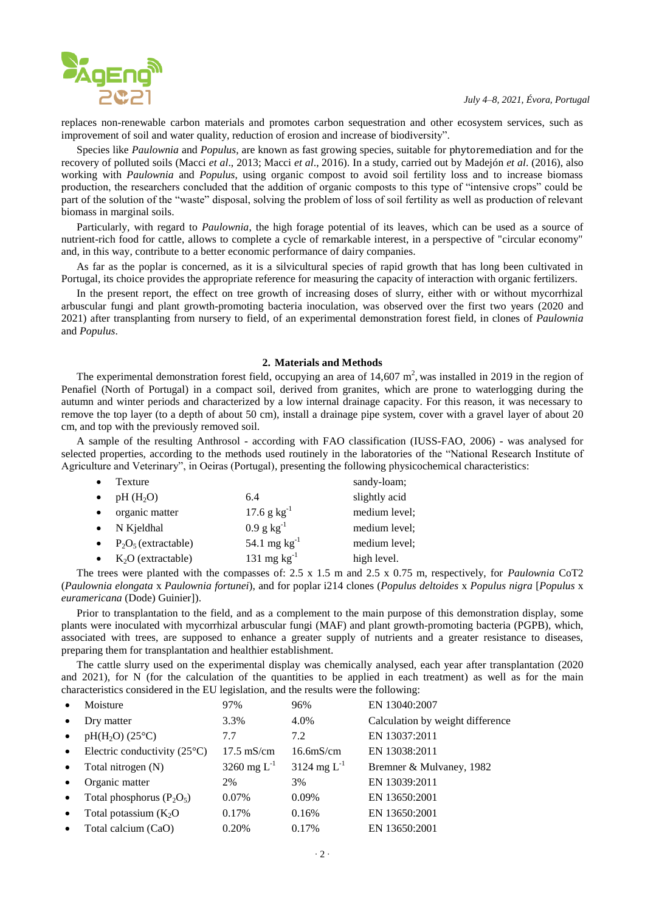

replaces non-renewable carbon materials and promotes carbon sequestration and other ecosystem services, such as improvement of soil and water quality, reduction of erosion and increase of biodiversity".

Species like *Paulownia* and *Populus*, are known as fast growing species, suitable for phytoremediation and for the recovery of polluted soils (Macci *et al*., 2013; Macci *et al*., 2016). In a study, carried out by Madejón *et al*. (2016), also working with *Paulownia* and *Populus*, using organic compost to avoid soil fertility loss and to increase biomass production, the researchers concluded that the addition of organic composts to this type of "intensive crops" could be part of the solution of the "waste" disposal, solving the problem of loss of soil fertility as well as production of relevant biomass in marginal soils.

Particularly, with regard to *Paulownia*, the high forage potential of its leaves, which can be used as a source of nutrient-rich food for cattle, allows to complete a cycle of remarkable interest, in a perspective of "circular economy" and, in this way, contribute to a better economic performance of dairy companies.

As far as the poplar is concerned, as it is a silvicultural species of rapid growth that has long been cultivated in Portugal, its choice provides the appropriate reference for measuring the capacity of interaction with organic fertilizers.

In the present report, the effect on tree growth of increasing doses of slurry, either with or without mycorrhizal arbuscular fungi and plant growth-promoting bacteria inoculation, was observed over the first two years (2020 and 2021) after transplanting from nursery to field, of an experimental demonstration forest field, in clones of *Paulownia* and *Populus*.

# **2. Materials and Methods**

The experimental demonstration forest field, occupying an area of  $14,607 \text{ m}^2$ , was installed in 2019 in the region of Penafiel (North of Portugal) in a compact soil, derived from granites, which are prone to waterlogging during the autumn and winter periods and characterized by a low internal drainage capacity. For this reason, it was necessary to remove the top layer (to a depth of about 50 cm), install a drainage pipe system, cover with a gravel layer of about 20 cm, and top with the previously removed soil.

A sample of the resulting Anthrosol - according with FAO classification (IUSS-FAO, 2006) - was analysed for selected properties, according to the methods used routinely in the laboratories of the "National Research Institute of Agriculture and Veterinary", in Oeiras (Portugal), presenting the following physicochemical characteristics:

| Texture                |                           | sandy-loam;   |
|------------------------|---------------------------|---------------|
| $pH(H_2O)$             | 6.4                       | slightly acid |
| organic matter         | $17.6$ g kg <sup>-1</sup> | medium level; |
| $\bullet$ N Kjeldhal   | $0.9$ g kg <sup>-1</sup>  | medium level: |
| $P_2O_5$ (extractable) | 54.1 mg $kg^{-1}$         | medium level: |
| $K_2O$ (extractable)   | 131 mg $kg^{-1}$          | high level.   |

The trees were planted with the compasses of: 2.5 x 1.5 m and 2.5 x 0.75 m, respectively, for *Paulownia* CoT2 (*Paulownia elongata* x *Paulownia fortunei*), and for poplar i214 clones (*Populus deltoides* x *Populus nigra* [*Populus* x *euramericana* (Dode) Guinier]).

Prior to transplantation to the field, and as a complement to the main purpose of this demonstration display, some plants were inoculated with mycorrhizal arbuscular fungi (MAF) and plant growth-promoting bacteria (PGPB), which, associated with trees, are supposed to enhance a greater supply of nutrients and a greater resistance to diseases, preparing them for transplantation and healthier establishment.

The cattle slurry used on the experimental display was chemically analysed, each year after transplantation (2020 and 2021), for N (for the calculation of the quantities to be applied in each treatment) as well as for the main characteristics considered in the EU legislation, and the results were the following:

| $\bullet$ | Moisture                              | 97%                  | 96%                       | EN 13040:2007                    |
|-----------|---------------------------------------|----------------------|---------------------------|----------------------------------|
| $\bullet$ | Dry matter                            | 3.3%                 | 4.0%                      | Calculation by weight difference |
| $\bullet$ | $pH(H2O)$ (25°C)                      | 7.7                  | 7.2                       | EN 13037:2011                    |
| $\bullet$ | Electric conductivity $(25^{\circ}C)$ | $17.5 \text{ mS/cm}$ | 16.6 <sub>m</sub> S/cm    | EN 13038:2011                    |
| $\bullet$ | Total nitrogen (N)                    | 3260 mg $L^{-1}$     | $3124 \text{ mg } L^{-1}$ | Bremner & Mulvaney, 1982         |
| $\bullet$ | Organic matter                        | 2%                   | 3%                        | EN 13039:2011                    |
| $\bullet$ | Total phosphorus $(P_2O_5)$           | $0.07\%$             | 0.09%                     | EN 13650:2001                    |
| $\bullet$ | Total potassium $(K_2O)$              | 0.17%                | 0.16%                     | EN 13650:2001                    |
| $\bullet$ | Total calcium (CaO)                   | 0.20%                | 0.17%                     | EN 13650:2001                    |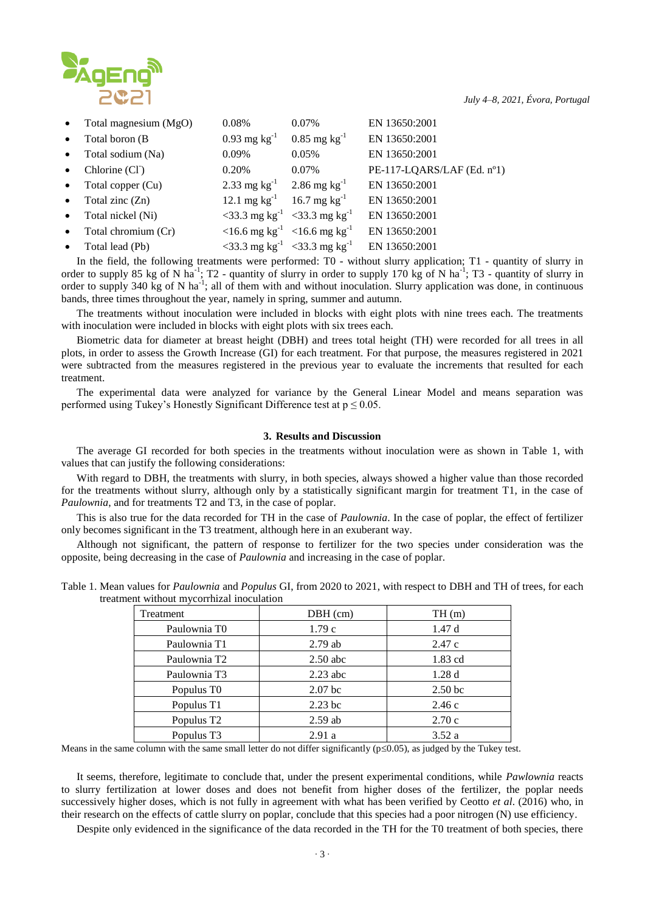

| $\bullet$ | Total magnesium (MgO)       | 0.08%                                               | $0.07\%$                   | EN 13650:2001              |
|-----------|-----------------------------|-----------------------------------------------------|----------------------------|----------------------------|
| $\bullet$ | Total boron (B)             | $0.93 \text{ mg kg}^{-1}$                           | $0.85$ mg kg <sup>-1</sup> | EN 13650:2001              |
| $\bullet$ | Total sodium (Na)           | 0.09%                                               | 0.05%                      | EN 13650:2001              |
| $\bullet$ | Chlorine (Cl <sup>-</sup> ) | 0.20%                                               | 0.07%                      | PE-117-LQARS/LAF (Ed. nº1) |
| $\bullet$ | Total copper (Cu)           | 2.33 mg kg <sup>-1</sup> 2.86 mg kg <sup>-1</sup>   |                            | EN 13650:2001              |
| $\bullet$ | Total zinc $(Zn)$           | 12.1 mg $kg^{-1}$ 16.7 mg $kg^{-1}$                 |                            | EN 13650:2001              |
| $\bullet$ | Total nickel (Ni)           | <33.3 mg kg <sup>-1</sup> <33.3 mg kg <sup>-1</sup> |                            | EN 13650:2001              |
| $\bullet$ | Total chromium (Cr)         | <16.6 mg kg <sup>-1</sup> <16.6 mg kg <sup>-1</sup> |                            | EN 13650:2001              |
| $\bullet$ | Total lead (Pb)             | <33.3 mg kg <sup>-1</sup> <33.3 mg kg <sup>-1</sup> |                            | EN 13650:2001              |

In the field, the following treatments were performed: T0 - without slurry application; T1 - quantity of slurry in order to supply 85 kg of N ha<sup>-1</sup>; T2 - quantity of slurry in order to supply 170 kg of N ha<sup>-1</sup>; T3 - quantity of slurry in order to supply 340 kg of N ha<sup>-1</sup>; all of them with and without inoculation. Slurry application was done, in continuous bands, three times throughout the year, namely in spring, summer and autumn.

The treatments without inoculation were included in blocks with eight plots with nine trees each. The treatments with inoculation were included in blocks with eight plots with six trees each.

Biometric data for diameter at breast height (DBH) and trees total height (TH) were recorded for all trees in all plots, in order to assess the Growth Increase (GI) for each treatment. For that purpose, the measures registered in 2021 were subtracted from the measures registered in the previous year to evaluate the increments that resulted for each treatment.

The experimental data were analyzed for variance by the General Linear Model and means separation was performed using Tukey's Honestly Significant Difference test at  $p \le 0.05$ .

## **3. Results and Discussion**

The average GI recorded for both species in the treatments without inoculation were as shown in Table 1, with values that can justify the following considerations:

With regard to DBH, the treatments with slurry, in both species, always showed a higher value than those recorded for the treatments without slurry, although only by a statistically significant margin for treatment T1, in the case of *Paulownia*, and for treatments T2 and T3, in the case of poplar.

This is also true for the data recorded for TH in the case of *Paulownia*. In the case of poplar, the effect of fertilizer only becomes significant in the T3 treatment, although here in an exuberant way.

Although not significant, the pattern of response to fertilizer for the two species under consideration was the opposite, being decreasing in the case of *Paulownia* and increasing in the case of poplar.

| Table 1. Mean values for Paulownia and Populus GI, from 2020 to 2021, with respect to DBH and TH of trees, for each |                                           |  |  |
|---------------------------------------------------------------------------------------------------------------------|-------------------------------------------|--|--|
|                                                                                                                     | treatment without mycorrhizal inoculation |  |  |

| Treatment                | $DBH$ (cm)         | TH(m)              |  |
|--------------------------|--------------------|--------------------|--|
| Paulownia T0             | 1.79c              | 1.47d              |  |
| Paulownia T1             | $2.79$ ab          | 2.47c              |  |
| Paulownia T <sub>2</sub> | $2.50$ abc         | 1.83 cd            |  |
| Paulownia T3             | $2.23$ abc         | 1.28d              |  |
| Populus T0               | 2.07 <sub>bc</sub> | 2.50 <sub>bc</sub> |  |
| Populus T1               | $2.23$ bc          | 2.46c              |  |
| Populus T <sub>2</sub>   | $2.59$ ab          | 2.70c              |  |
| Populus T3               | 2.91a              | 3.52a              |  |

Means in the same column with the same small letter do not differ significantly  $(p \le 0.05)$ , as judged by the Tukey test.

It seems, therefore, legitimate to conclude that, under the present experimental conditions, while *Pawlownia* reacts to slurry fertilization at lower doses and does not benefit from higher doses of the fertilizer, the poplar needs successively higher doses, which is not fully in agreement with what has been verified by Ceotto *et al*. (2016) who, in their research on the effects of cattle slurry on poplar, conclude that this species had a poor nitrogen (N) use efficiency.

Despite only evidenced in the significance of the data recorded in the TH for the T0 treatment of both species, there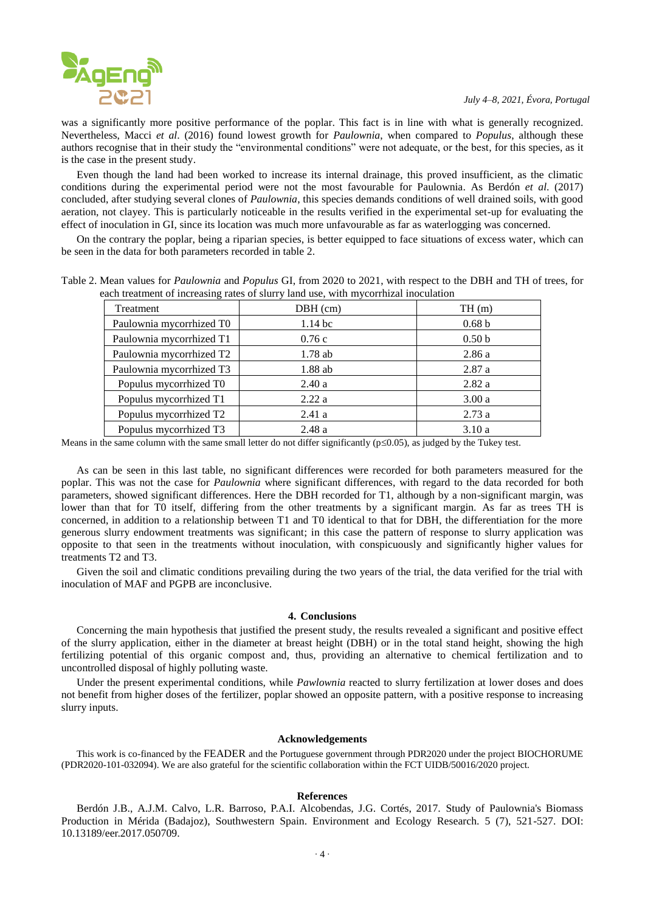was a significantly more positive performance of the poplar. This fact is in line with what is generally recognized. Nevertheless, Macci *et al*. (2016) found lowest growth for *Paulownia*, when compared to *Populus*, although these authors recognise that in their study the "environmental conditions" were not adequate, or the best, for this species, as it is the case in the present study.

Even though the land had been worked to increase its internal drainage, this proved insufficient, as the climatic conditions during the experimental period were not the most favourable for Paulownia. As Berdón *et al*. (2017) concluded, after studying several clones of *Paulownia*, this species demands conditions of well drained soils, with good aeration, not clayey. This is particularly noticeable in the results verified in the experimental set-up for evaluating the effect of inoculation in GI, since its location was much more unfavourable as far as waterlogging was concerned.

On the contrary the poplar, being a riparian species, is better equipped to face situations of excess water, which can be seen in the data for both parameters recorded in table 2.

| Table 2. Mean values for <i>Paulownia</i> and <i>Populus</i> GI, from 2020 to 2021, with respect to the DBH and TH of trees, for |  |  |
|----------------------------------------------------------------------------------------------------------------------------------|--|--|
| each treatment of increasing rates of slurry land use, with mycorrhizal inoculation                                              |  |  |

| Treatment                | $DBH$ (cm) | TH(m)             |  |
|--------------------------|------------|-------------------|--|
| Paulownia mycorrhized T0 | $1.14$ bc  | 0.68 <sub>b</sub> |  |
| Paulownia mycorrhized T1 | 0.76c      | 0.50 <sub>b</sub> |  |
| Paulownia mycorrhized T2 | $1.78$ ab  | 2.86a             |  |
| Paulownia mycorrhized T3 | $1.88$ ab  | 2.87a             |  |
| Populus mycorrhized T0   | 2.40a      | 2.82a             |  |
| Populus mycorrhized T1   | 2.22a      | 3.00a             |  |
| Populus mycorrhized T2   | 2.41a      | 2.73a             |  |
| Populus mycorrhized T3   | 2.48a      | 3.10a             |  |

Means in the same column with the same small letter do not differ significantly  $(p \le 0.05)$ , as judged by the Tukey test.

As can be seen in this last table, no significant differences were recorded for both parameters measured for the poplar. This was not the case for *Paulownia* where significant differences, with regard to the data recorded for both parameters, showed significant differences. Here the DBH recorded for T1, although by a non-significant margin, was lower than that for T0 itself, differing from the other treatments by a significant margin. As far as trees TH is concerned, in addition to a relationship between T1 and T0 identical to that for DBH, the differentiation for the more generous slurry endowment treatments was significant; in this case the pattern of response to slurry application was opposite to that seen in the treatments without inoculation, with conspicuously and significantly higher values for treatments T2 and T3.

Given the soil and climatic conditions prevailing during the two years of the trial, the data verified for the trial with inoculation of MAF and PGPB are inconclusive.

#### **4. Conclusions**

Concerning the main hypothesis that justified the present study, the results revealed a significant and positive effect of the slurry application, either in the diameter at breast height (DBH) or in the total stand height, showing the high fertilizing potential of this organic compost and, thus, providing an alternative to chemical fertilization and to uncontrolled disposal of highly polluting waste.

Under the present experimental conditions, while *Pawlownia* reacted to slurry fertilization at lower doses and does not benefit from higher doses of the fertilizer, poplar showed an opposite pattern, with a positive response to increasing slurry inputs.

# **Acknowledgements**

This work is co-financed by the FEADER and the Portuguese government through PDR2020 under the project BIOCHORUME (PDR2020-101-032094). We are also grateful for the scientific collaboration within the FCT UIDB/50016/2020 project.

#### **References**

Berdón J.B., A.J.M. Calvo, L.R. Barroso, P.A.I. Alcobendas, J.G. Cortés, 2017. Study of Paulownia's Biomass Production in Mérida (Badajoz), Southwestern Spain. Environment and Ecology Research. 5 (7), 521-527. DOI: 10.13189/eer.2017.050709.